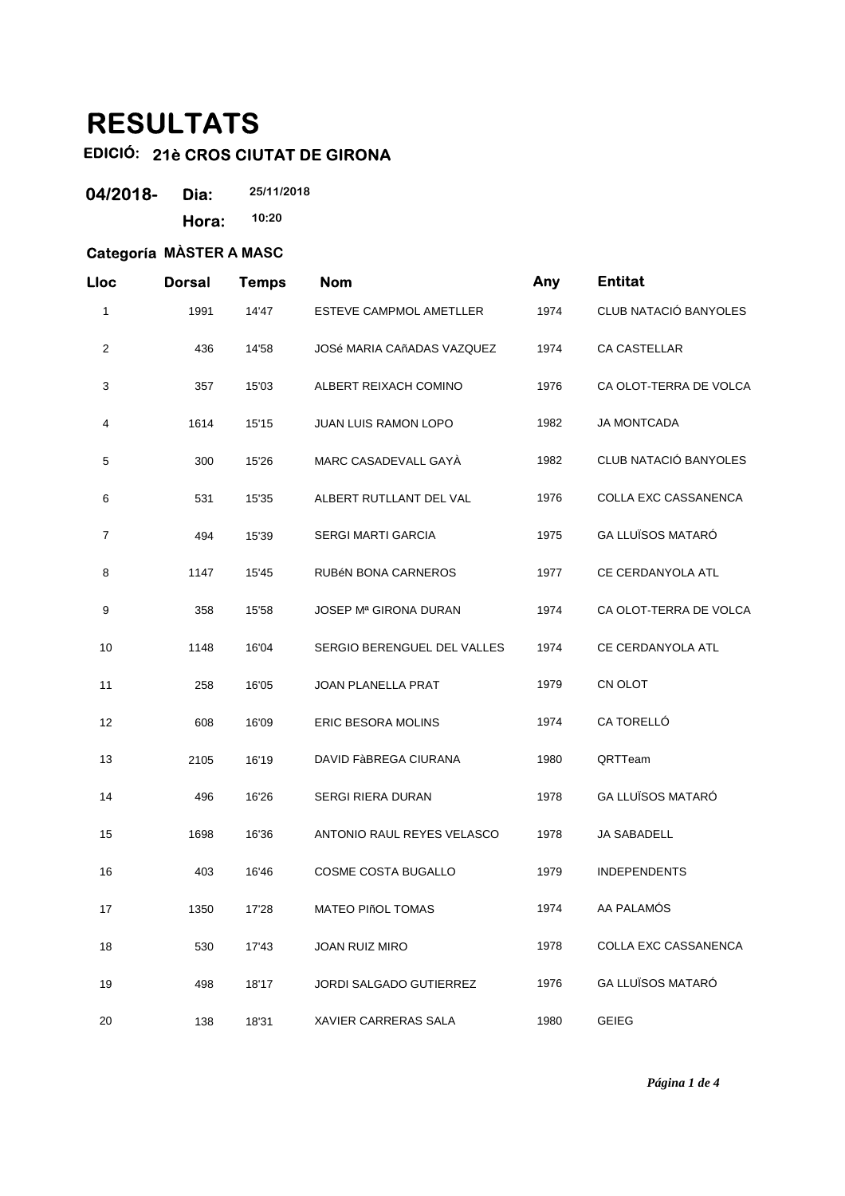# **RESULTATS**

## **EDICIÓ: 21è CROS CIUTAT DE GIRONA**

| 04/2018- | Dia:  | 25/11/2018 |
|----------|-------|------------|
|          | Hora: | 10:20      |

### **Categoría MÀSTER A MASC**

| Lloc           | <b>Dorsal</b> | <b>Temps</b> | <b>Nom</b>                              | Any  | <b>Entitat</b>           |
|----------------|---------------|--------------|-----------------------------------------|------|--------------------------|
| 1              | 1991          | 14'47        | ESTEVE CAMPMOL AMETLLER                 | 1974 | CLUB NATACIÓ BANYOLES    |
| 2              | 436           | 14'58        | <b>JOSé MARIA CAñADAS VAZQUEZ</b>       | 1974 | CA CASTELLAR             |
| 3              | 357           | 15'03        | ALBERT REIXACH COMINO                   | 1976 | CA OLOT-TERRA DE VOLCA   |
| 4              | 1614          | 15'15        | <b>JUAN LUIS RAMON LOPO</b>             | 1982 | <b>JA MONTCADA</b>       |
| 5              | 300           | 15'26        | MARC CASADEVALL GAYÀ                    | 1982 | CLUB NATACIÓ BANYOLES    |
| 6              | 531           | 15'35        | ALBERT RUTLLANT DEL VAL                 | 1976 | COLLA EXC CASSANENCA     |
| $\overline{7}$ | 494           | 15'39        | <b>SERGI MARTI GARCIA</b>               | 1975 | <b>GA LLUÏSOS MATARÓ</b> |
| 8              | 1147          | 15'45        | RUBÉN BONA CARNEROS                     | 1977 | CE CERDANYOLA ATL        |
| 9              | 358           | 15'58        | <b>JOSEP M<sup>ª</sup> GIRONA DURAN</b> | 1974 | CA OLOT-TERRA DE VOLCA   |
| 10             | 1148          | 16'04        | SERGIO BERENGUEL DEL VALLES             | 1974 | CE CERDANYOLA ATL        |
| 11             | 258           | 16'05        | <b>JOAN PLANELLA PRAT</b>               | 1979 | CN OLOT                  |
| 12             | 608           | 16'09        | ERIC BESORA MOLINS                      | 1974 | CA TORELLÓ               |
| 13             | 2105          | 16'19        | DAVID FABREGA CIURANA                   | 1980 | QRTTeam                  |
| 14             | 496           | 16'26        | <b>SERGI RIERA DURAN</b>                | 1978 | <b>GA LLUÏSOS MATARÓ</b> |
| 15             | 1698          | 16'36        | ANTONIO RAUL REYES VELASCO              | 1978 | <b>JA SABADELL</b>       |
| 16             | 403           | 16'46        | COSME COSTA BUGALLO                     | 1979 | <b>INDEPENDENTS</b>      |
| 17             | 1350          | 17'28        | MATEO PIñOL TOMAS                       | 1974 | AA PALAMÓS               |
| 18             | 530           | 17'43        | JOAN RUIZ MIRO                          | 1978 | COLLA EXC CASSANENCA     |
| 19             | 498           | 18'17        | <b>JORDI SALGADO GUTIERREZ</b>          | 1976 | <b>GA LLUÏSOS MATARÓ</b> |
| 20             | 138           | 18'31        | XAVIER CARRERAS SALA                    | 1980 | <b>GEIEG</b>             |

*Página 1 de 4*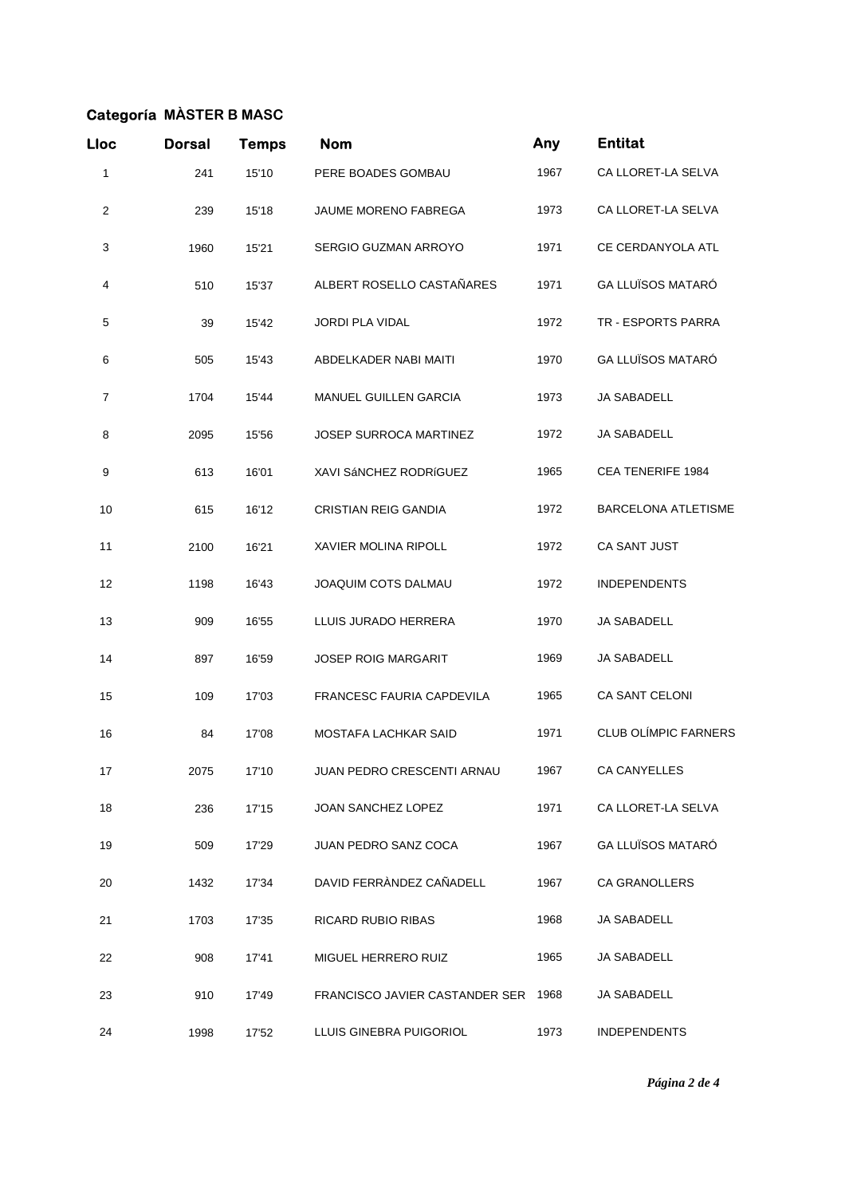### **Categoría MÀSTER B MASC**

| Lloc           | <b>Dorsal</b> | <b>Temps</b> | <b>Nom</b>                     | Any  | <b>Entitat</b>              |
|----------------|---------------|--------------|--------------------------------|------|-----------------------------|
| 1              | 241           | 15'10        | PERE BOADES GOMBAU             | 1967 | CA LLORET-LA SELVA          |
| $\overline{c}$ | 239           | 15'18        | <b>JAUME MORENO FABREGA</b>    | 1973 | CA LLORET-LA SELVA          |
| 3              | 1960          | 15'21        | SERGIO GUZMAN ARROYO           | 1971 | CE CERDANYOLA ATL           |
| 4              | 510           | 15'37        | ALBERT ROSELLO CASTAÑARES      | 1971 | <b>GA LLUÏSOS MATARÓ</b>    |
| 5              | 39            | 15'42        | <b>JORDI PLA VIDAL</b>         | 1972 | TR - ESPORTS PARRA          |
| 6              | 505           | 15'43        | ABDELKADER NABI MAITI          | 1970 | GA LLUÏSOS MATARÓ           |
| 7              | 1704          | 15'44        | MANUEL GUILLEN GARCIA          | 1973 | <b>JA SABADELL</b>          |
| 8              | 2095          | 15'56        | <b>JOSEP SURROCA MARTINEZ</b>  | 1972 | JA SABADELL                 |
| 9              | 613           | 16'01        | XAVI SÁNCHEZ RODRÍGUEZ         | 1965 | CEA TENERIFE 1984           |
| 10             | 615           | 16'12        | <b>CRISTIAN REIG GANDIA</b>    | 1972 | <b>BARCELONA ATLETISME</b>  |
| 11             | 2100          | 16'21        | <b>XAVIER MOLINA RIPOLL</b>    | 1972 | CA SANT JUST                |
| 12             | 1198          | 16'43        | JOAQUIM COTS DALMAU            | 1972 | <b>INDEPENDENTS</b>         |
| 13             | 909           | 16'55        | LLUIS JURADO HERRERA           | 1970 | JA SABADELL                 |
| 14             | 897           | 16'59        | <b>JOSEP ROIG MARGARIT</b>     | 1969 | JA SABADELL                 |
| 15             | 109           | 17'03        | FRANCESC FAURIA CAPDEVILA      | 1965 | <b>CA SANT CELONI</b>       |
| 16             | 84            | 17'08        | <b>MOSTAFA LACHKAR SAID</b>    | 1971 | <b>CLUB OLÍMPIC FARNERS</b> |
| 17             | 2075          | 17'10        | JUAN PEDRO CRESCENTI ARNAU     | 1967 | CA CANYELLES                |
| 18             | 236           | 17'15        | JOAN SANCHEZ LOPEZ             | 1971 | CA LLORET-LA SELVA          |
| 19             | 509           | 17'29        | JUAN PEDRO SANZ COCA           | 1967 | <b>GA LLUÏSOS MATARÓ</b>    |
| 20             | 1432          | 17'34        | DAVID FERRÀNDEZ CAÑADELL       | 1967 | <b>CA GRANOLLERS</b>        |
| 21             | 1703          | 17'35        | <b>RICARD RUBIO RIBAS</b>      | 1968 | JA SABADELL                 |
| 22             | 908           | 17'41        | MIGUEL HERRERO RUIZ            | 1965 | <b>JA SABADELL</b>          |
| 23             | 910           | 17'49        | FRANCISCO JAVIER CASTANDER SER | 1968 | JA SABADELL                 |
| 24             | 1998          | 17'52        | LLUIS GINEBRA PUIGORIOL        | 1973 | <b>INDEPENDENTS</b>         |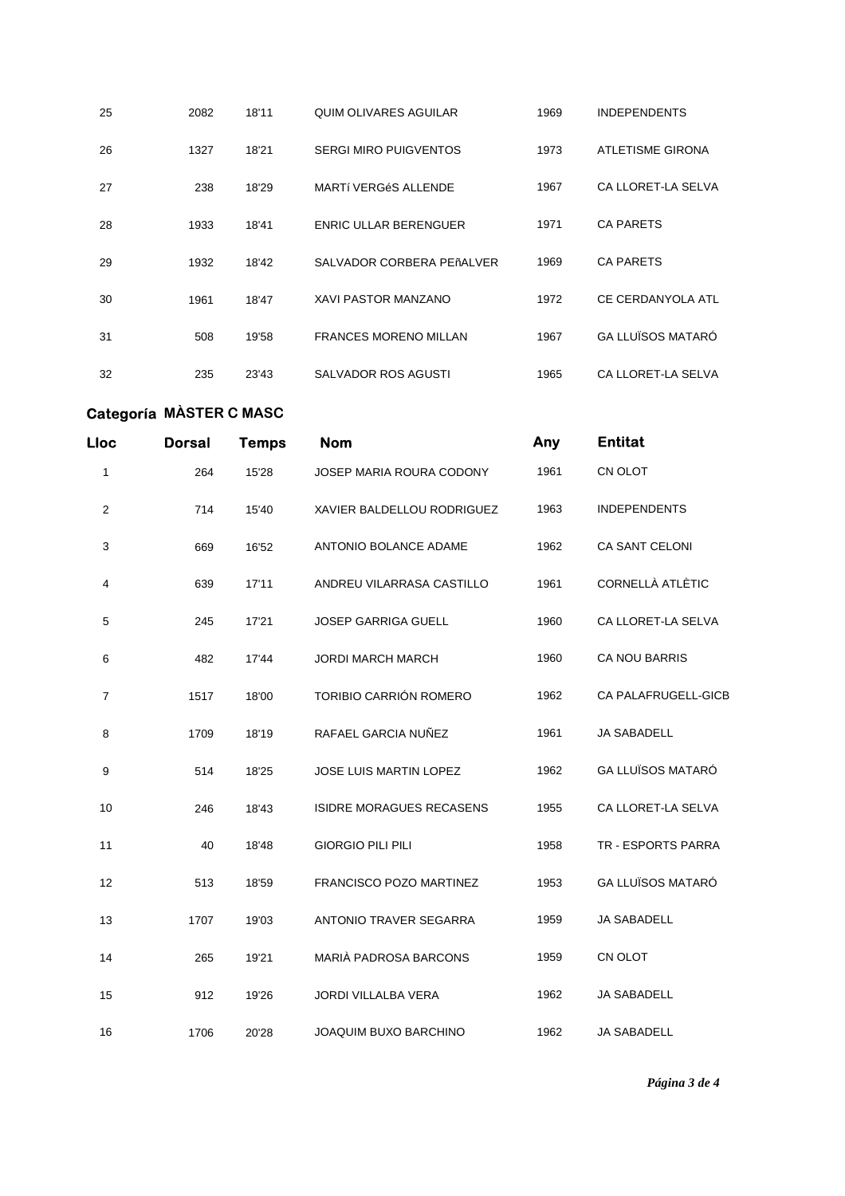| 25 | 2082 | 18'11 | QUIM OLIVARES AGUILAR        | 1969 | <b>INDEPENDENTS</b>      |
|----|------|-------|------------------------------|------|--------------------------|
| 26 | 1327 | 18'21 | <b>SERGI MIRO PUIGVENTOS</b> | 1973 | <b>ATLETISME GIRONA</b>  |
| 27 | 238  | 18'29 | MARTÍ VERGÉS ALLENDE         | 1967 | CA LLORET-LA SELVA       |
| 28 | 1933 | 18'41 | <b>ENRIC ULLAR BERENGUER</b> | 1971 | <b>CA PARETS</b>         |
| 29 | 1932 | 18'42 | SALVADOR CORBERA PEñALVER    | 1969 | <b>CA PARETS</b>         |
| 30 | 1961 | 18'47 | <b>XAVI PASTOR MANZANO</b>   | 1972 | CE CERDANYOLA ATL        |
| 31 | 508  | 19'58 | <b>FRANCES MORENO MILLAN</b> | 1967 | <b>GA LLUÏSOS MATARÓ</b> |
| 32 | 235  | 23'43 | SALVADOR ROS AGUSTI          | 1965 | CA LLORET-LA SELVA       |

#### **Categoría MÀSTER C MASC**

| Lloc           | <b>Dorsal</b> | <b>Temps</b> | <b>Nom</b>                      | Any  | <b>Entitat</b>            |
|----------------|---------------|--------------|---------------------------------|------|---------------------------|
| 1              | 264           | 15'28        | JOSEP MARIA ROURA CODONY        | 1961 | CN OLOT                   |
| $\overline{c}$ | 714           | 15'40        | XAVIER BALDELLOU RODRIGUEZ      | 1963 | <b>INDEPENDENTS</b>       |
| 3              | 669           | 16'52        | ANTONIO BOLANCE ADAME           | 1962 | CA SANT CELONI            |
| 4              | 639           | 17'11        | ANDREU VILARRASA CASTILLO       | 1961 | <b>CORNELLÀ ATLÈTIC</b>   |
| 5              | 245           | 17'21        | <b>JOSEP GARRIGA GUELL</b>      | 1960 | CA LLORET-LA SELVA        |
| 6              | 482           | 17'44        | <b>JORDI MARCH MARCH</b>        | 1960 | <b>CA NOU BARRIS</b>      |
| $\overline{7}$ | 1517          | 18'00        | TORIBIO CARRIÓN ROMERO          | 1962 | CA PALAFRUGELL-GICB       |
| 8              | 1709          | 18'19        | RAFAEL GARCIA NUÑEZ             | 1961 | <b>JA SABADELL</b>        |
| 9              | 514           | 18'25        | JOSE LUIS MARTIN LOPEZ          | 1962 | <b>GA LLUÏSOS MATARÓ</b>  |
| 10             | 246           | 18'43        | <b>ISIDRE MORAGUES RECASENS</b> | 1955 | CA LLORET-LA SELVA        |
| 11             | 40            | 18'48        | <b>GIORGIO PILI PILI</b>        | 1958 | <b>TR - ESPORTS PARRA</b> |
| 12             | 513           | 18'59        | FRANCISCO POZO MARTINEZ         | 1953 | <b>GA LLUÏSOS MATARÓ</b>  |
| 13             | 1707          | 19'03        | <b>ANTONIO TRAVER SEGARRA</b>   | 1959 | <b>JA SABADELL</b>        |
| 14             | 265           | 19'21        | MARIÀ PADROSA BARCONS           | 1959 | CN OLOT                   |
| 15             | 912           | 19'26        | JORDI VILLALBA VERA             | 1962 | <b>JA SABADELL</b>        |
| 16             | 1706          | 20'28        | JOAQUIM BUXO BARCHINO           | 1962 | JA SABADELL               |